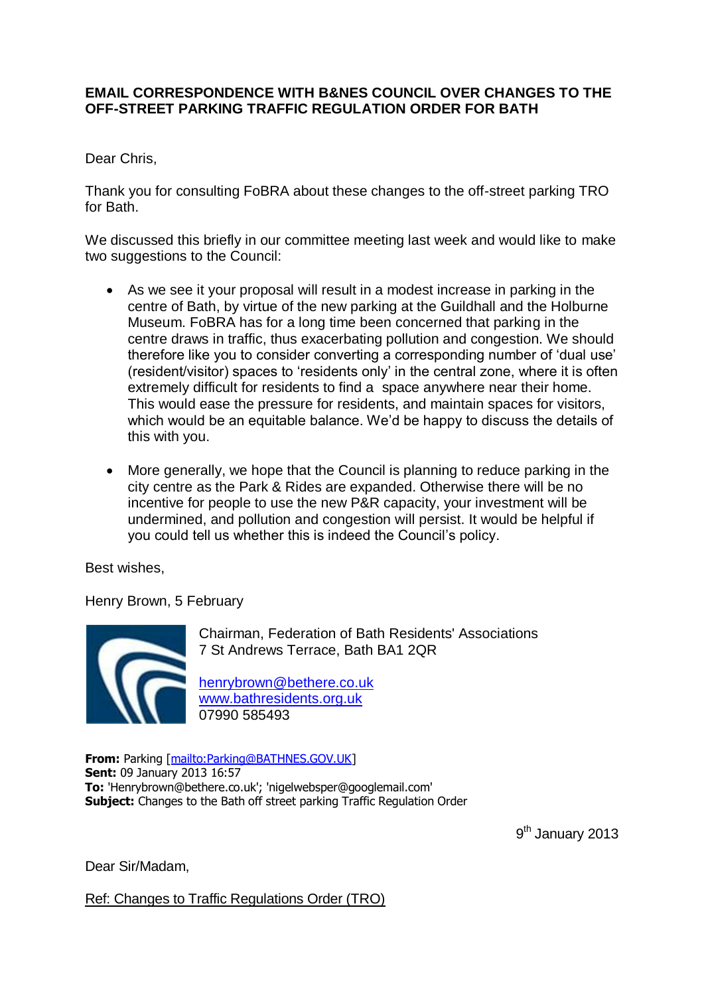## **EMAIL CORRESPONDENCE WITH B&NES COUNCIL OVER CHANGES TO THE OFF-STREET PARKING TRAFFIC REGULATION ORDER FOR BATH**

Dear Chris,

Thank you for consulting FoBRA about these changes to the off-street parking TRO for Bath.

We discussed this briefly in our committee meeting last week and would like to make two suggestions to the Council:

- As we see it your proposal will result in a modest increase in parking in the centre of Bath, by virtue of the new parking at the Guildhall and the Holburne Museum. FoBRA has for a long time been concerned that parking in the centre draws in traffic, thus exacerbating pollution and congestion. We should therefore like you to consider converting a corresponding number of 'dual use' (resident/visitor) spaces to 'residents only' in the central zone, where it is often extremely difficult for residents to find a space anywhere near their home. This would ease the pressure for residents, and maintain spaces for visitors, which would be an equitable balance. We'd be happy to discuss the details of this with you.
- More generally, we hope that the Council is planning to reduce parking in the city centre as the Park & Rides are expanded. Otherwise there will be no incentive for people to use the new P&R capacity, your investment will be undermined, and pollution and congestion will persist. It would be helpful if you could tell us whether this is indeed the Council's policy.

Best wishes,

Henry Brown, 5 February



Chairman, Federation of Bath Residents' Associations 7 St Andrews Terrace, Bath BA1 2QR

<henrybrown@bethere.co.uk> <www.bathresidents.org.uk> 07990 585493

**From:** Parking [\[mailto:Parking@BATHNES.GOV.UK\]](mailto:Parking@BATHNES.GOV.UK) **Sent:** 09 January 2013 16:57 **To:** 'Henrybrown@bethere.co.uk'; 'nigelwebsper@googlemail.com' **Subject:** Changes to the Bath off street parking Traffic Regulation Order

9<sup>th</sup> January 2013

Dear Sir/Madam,

Ref: Changes to Traffic Regulations Order (TRO)